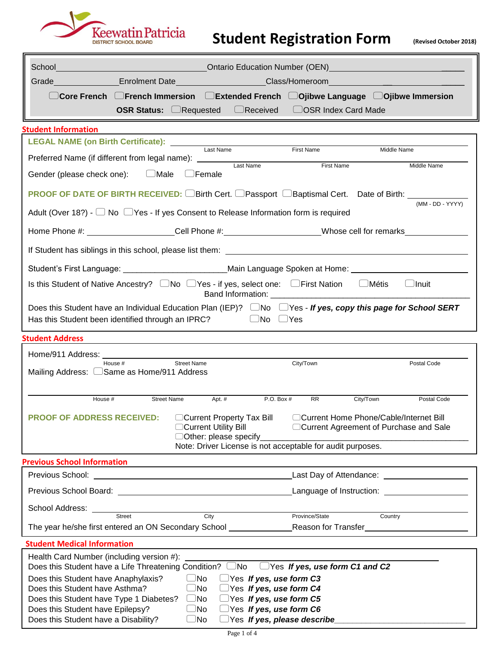

## **Student Registration Form (Revised October 2018)**

| School                                                                                                                                                                                             |                                                                                                                  |                                                                                     |              |  |
|----------------------------------------------------------------------------------------------------------------------------------------------------------------------------------------------------|------------------------------------------------------------------------------------------------------------------|-------------------------------------------------------------------------------------|--------------|--|
|                                                                                                                                                                                                    | Grade_________________Enrolment Date_____________________Class/Homeroom____________________________              |                                                                                     |              |  |
|                                                                                                                                                                                                    | $\Box$ Core French $\Box$ French Immersion $\Box$ Extended French $\Box$ Ojibwe Language $\Box$ Ojibwe Immersion |                                                                                     |              |  |
|                                                                                                                                                                                                    | <b>OSR Status:</b> CRequested CReceived COSR Index Card Made                                                     |                                                                                     |              |  |
| <b>Student Information</b>                                                                                                                                                                         |                                                                                                                  |                                                                                     |              |  |
| LEGAL NAME (on Birth Certificate): Last Name                                                                                                                                                       |                                                                                                                  |                                                                                     |              |  |
| Preferred Name (if different from legal name): _______                                                                                                                                             |                                                                                                                  | First Name                                                                          | Middle Name  |  |
| Gender (please check one): CMale                                                                                                                                                                   | Last Name<br>$\Box$ Female                                                                                       | First Name                                                                          | Middle Name  |  |
| <b>PROOF OF DATE OF BIRTH RECEIVED:</b> □Birth Cert. □Passport □Baptismal Cert. Date of Birth: <u>□</u>                                                                                            |                                                                                                                  |                                                                                     |              |  |
| (MM - DD - YYYY)<br>Adult (Over 18?) - $\Box$ No $\Box$ Yes - If yes Consent to Release Information form is required                                                                               |                                                                                                                  |                                                                                     |              |  |
| Home Phone #: _____________________Cell Phone #: ______________________Whose cell for remarks_____________                                                                                         |                                                                                                                  |                                                                                     |              |  |
|                                                                                                                                                                                                    |                                                                                                                  |                                                                                     |              |  |
| Student's First Language: ___________________________Main Language Spoken at Home: ___________________________                                                                                     |                                                                                                                  |                                                                                     |              |  |
| Is this Student of Native Ancestry?  □ No □ Yes - if yes, select one:  □ First Nation  □ Métis                                                                                                     |                                                                                                                  |                                                                                     | $\Box$ Inuit |  |
| Does this Student have an Individual Education Plan (IEP)? $\Box$ No $\Box$ Yes - If yes, copy this page for School SERT<br>Has this Student been identified through an IPRC? $\Box$ No $\Box$ Yes |                                                                                                                  |                                                                                     |              |  |
| <b>Student Address</b>                                                                                                                                                                             |                                                                                                                  |                                                                                     |              |  |
|                                                                                                                                                                                                    |                                                                                                                  |                                                                                     |              |  |
| House #<br>Mailing Address: CSame as Home/911 Address                                                                                                                                              | <b>Street Name</b>                                                                                               | City/Town                                                                           | Postal Code  |  |
|                                                                                                                                                                                                    |                                                                                                                  |                                                                                     |              |  |
| House #                                                                                                                                                                                            | Apt. #<br><b>Street Name</b><br>P.O. Box #                                                                       | <b>RR</b><br>City/Town                                                              | Postal Code  |  |
| <b>PROOF OF ADDRESS RECEIVED:</b>                                                                                                                                                                  | □ Current Property Tax Bill<br>□Current Utility Bill<br>Other: please specify_                                   | □Current Home Phone/Cable/Internet Bill<br>□ Current Agreement of Purchase and Sale |              |  |
|                                                                                                                                                                                                    | Note: Driver License is not acceptable for audit purposes.                                                       |                                                                                     |              |  |
| <b>Previous School Information</b>                                                                                                                                                                 | the control of the control of the control of the control of the control of the control of                        |                                                                                     |              |  |
|                                                                                                                                                                                                    |                                                                                                                  | Last Day of Attendance: _____________________                                       |              |  |
|                                                                                                                                                                                                    |                                                                                                                  |                                                                                     |              |  |
| School Address: <u>Street</u> Street City City Province/State Province/State                                                                                                                       |                                                                                                                  |                                                                                     |              |  |
|                                                                                                                                                                                                    |                                                                                                                  | Country                                                                             |              |  |
|                                                                                                                                                                                                    |                                                                                                                  |                                                                                     |              |  |
| <b>Student Medical Information</b>                                                                                                                                                                 |                                                                                                                  |                                                                                     |              |  |
| Health Card Number (including version #):<br>Does this Student have a Life Threatening Condition? $\Box$ No $\Box$ Yes If yes, use form C1 and C2                                                  |                                                                                                                  |                                                                                     |              |  |
| Does this Student have Anaphylaxis?                                                                                                                                                                | $\Box$ No<br>$\Box$ Yes If yes, use form C3                                                                      |                                                                                     |              |  |
| Does this Student have Asthma?                                                                                                                                                                     | $\Box$ No<br>$\Box$ Yes If yes, use form C4                                                                      |                                                                                     |              |  |
| Does this Student have Type 1 Diabetes?<br>Does this Student have Epilepsy?                                                                                                                        | $\Box$ Yes If yes, use form C5<br>$\Box$ No<br>$\Box$ Yes If yes, use form C6<br>$\Box$ No                       |                                                                                     |              |  |
| Does this Student have a Disability?                                                                                                                                                               | □Yes If yes, please describe<br>$\Box$ No                                                                        |                                                                                     |              |  |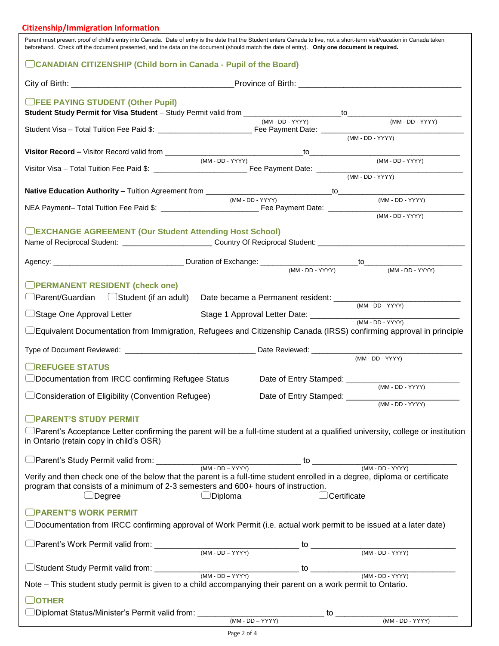## **Citizenship/Immigration Information**

| Parent must present proof of child's entry into Canada. Date of entry is the date that the Student enters Canada to live, not a short-term visit/vacation in Canada taken<br>beforehand. Check off the document presented, and the data on the document (should match the date of entry). Only one document is required. |                  |                                     |                                                |
|--------------------------------------------------------------------------------------------------------------------------------------------------------------------------------------------------------------------------------------------------------------------------------------------------------------------------|------------------|-------------------------------------|------------------------------------------------|
| CANADIAN CITIZENSHIP (Child born in Canada - Pupil of the Board)                                                                                                                                                                                                                                                         |                  |                                     |                                                |
|                                                                                                                                                                                                                                                                                                                          |                  |                                     |                                                |
| <b>OFEE PAYING STUDENT (Other Pupil)</b>                                                                                                                                                                                                                                                                                 |                  |                                     |                                                |
|                                                                                                                                                                                                                                                                                                                          |                  | (MM - DD - YYYY)                    | (MM - DD - YYYY)                               |
|                                                                                                                                                                                                                                                                                                                          |                  |                                     | $(MM - DD - YYYY)$                             |
|                                                                                                                                                                                                                                                                                                                          | (MM - DD - YYYY) |                                     | (MM - DD - YYYY)                               |
|                                                                                                                                                                                                                                                                                                                          |                  |                                     | $(MM - DD - YYYY)$                             |
|                                                                                                                                                                                                                                                                                                                          |                  |                                     |                                                |
|                                                                                                                                                                                                                                                                                                                          | (MM - DD - YYYY) |                                     | (MM - DD - YYYY)                               |
|                                                                                                                                                                                                                                                                                                                          |                  |                                     | $(MM - DD - YYYY)$                             |
| <b>DEXCHANGE AGREEMENT (Our Student Attending Host School)</b>                                                                                                                                                                                                                                                           |                  |                                     |                                                |
|                                                                                                                                                                                                                                                                                                                          |                  |                                     |                                                |
|                                                                                                                                                                                                                                                                                                                          |                  | (MM - DD - YYYY)                    | (MM - DD - YYYY)                               |
| <b>OPERMANENT RESIDENT (check one)</b>                                                                                                                                                                                                                                                                                   |                  |                                     |                                                |
| $\Box$ Parent/Guardian $\Box$ Student (if an adult)                                                                                                                                                                                                                                                                      |                  |                                     | Date became a Permanent resident: (MM-DD-YYYY) |
| Stage One Approval Letter                                                                                                                                                                                                                                                                                                |                  |                                     |                                                |
|                                                                                                                                                                                                                                                                                                                          |                  |                                     |                                                |
|                                                                                                                                                                                                                                                                                                                          |                  |                                     |                                                |
|                                                                                                                                                                                                                                                                                                                          |                  |                                     | (MM - DD - YYYY)                               |
| <b>REFUGEE STATUS</b><br>$\supset$ Documentation from IRCC confirming Refugee Status                                                                                                                                                                                                                                     |                  | Date of Entry Stamped: ____________ |                                                |
| Consideration of Eligibility (Convention Refugee)                                                                                                                                                                                                                                                                        |                  |                                     | $(MM - DD - YYYY)$                             |
|                                                                                                                                                                                                                                                                                                                          |                  |                                     | (MM - DD - YYYY)                               |
| <b>PARENT'S STUDY PERMIT</b>                                                                                                                                                                                                                                                                                             |                  |                                     |                                                |
| $\Box$ Parent's Acceptance Letter confirming the parent will be a full-time student at a qualified university, college or institution<br>in Ontario (retain copy in child's OSR)                                                                                                                                         |                  |                                     |                                                |
| Parent's Study Permit valid from: (MM - DD - YYYY) the method of the contract of the contract of the contract of the contract of the contract of the contract of the contract of the contract of the contract of the contract                                                                                            |                  |                                     |                                                |
| Verify and then check one of the below that the parent is a full-time student enrolled in a degree, diploma or certificate<br>program that consists of a minimum of 2-3 semesters and 600+ hours of instruction.<br>$\Box$ Degree                                                                                        | $\Box$ Diploma   | Certificate                         |                                                |
| <b>JPARENT'S WORK PERMIT</b>                                                                                                                                                                                                                                                                                             |                  |                                     |                                                |
|                                                                                                                                                                                                                                                                                                                          |                  |                                     |                                                |
|                                                                                                                                                                                                                                                                                                                          |                  |                                     |                                                |
|                                                                                                                                                                                                                                                                                                                          |                  |                                     |                                                |
|                                                                                                                                                                                                                                                                                                                          |                  |                                     |                                                |
| Note – This student study permit is given to a child accompanying their parent on a work permit to Ontario.                                                                                                                                                                                                              |                  |                                     |                                                |
|                                                                                                                                                                                                                                                                                                                          |                  |                                     |                                                |
| <b>DOTHER</b>                                                                                                                                                                                                                                                                                                            |                  |                                     |                                                |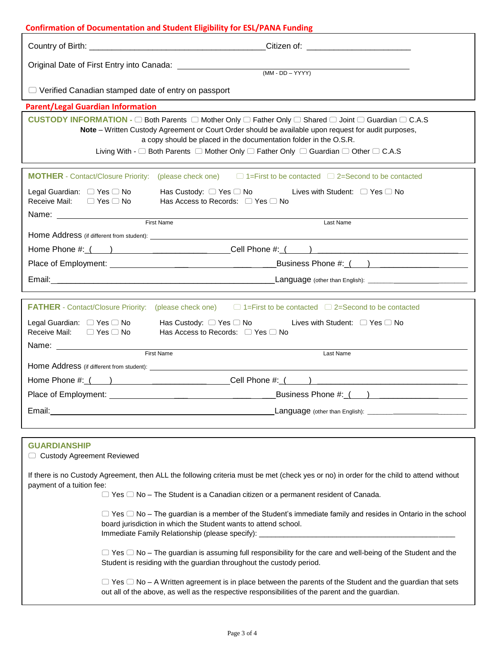|                                                                                                                                                                                                                                                                                                                                                                          | <b>Confirmation of Documentation and Student Eligibility for ESL/PANA Funding</b>                                                                                                                                        |  |  |  |
|--------------------------------------------------------------------------------------------------------------------------------------------------------------------------------------------------------------------------------------------------------------------------------------------------------------------------------------------------------------------------|--------------------------------------------------------------------------------------------------------------------------------------------------------------------------------------------------------------------------|--|--|--|
|                                                                                                                                                                                                                                                                                                                                                                          |                                                                                                                                                                                                                          |  |  |  |
|                                                                                                                                                                                                                                                                                                                                                                          |                                                                                                                                                                                                                          |  |  |  |
| $\Box$ Verified Canadian stamped date of entry on passport                                                                                                                                                                                                                                                                                                               |                                                                                                                                                                                                                          |  |  |  |
| <b>Parent/Legal Guardian Information</b>                                                                                                                                                                                                                                                                                                                                 |                                                                                                                                                                                                                          |  |  |  |
| CUSTODY INFORMATION - □ Both Parents □ Mother Only □ Father Only □ Shared □ Joint □ Guardian □ C.A.S<br>Note - Written Custody Agreement or Court Order should be available upon request for audit purposes,<br>a copy should be placed in the documentation folder in the O.S.R.<br>Living With - □ Both Parents □ Mother Only □ Father Only □ Guardian □ Other □ C.A.S |                                                                                                                                                                                                                          |  |  |  |
|                                                                                                                                                                                                                                                                                                                                                                          | <b>MOTHER</b> - Contact/Closure Priority: (please check one) $\Box$ 1=First to be contacted $\Box$ 2=Second to be contacted                                                                                              |  |  |  |
| Legal Guardian: □ Yes □ No<br>Receive Mail:<br>$\Box$ Yes $\Box$ No                                                                                                                                                                                                                                                                                                      | Has Custody: □ Yes □ No Lives with Student: □ Yes □ No<br>Has Access to Records: $\Box$ Yes $\Box$ No                                                                                                                    |  |  |  |
|                                                                                                                                                                                                                                                                                                                                                                          | First Name<br>Last Name                                                                                                                                                                                                  |  |  |  |
|                                                                                                                                                                                                                                                                                                                                                                          |                                                                                                                                                                                                                          |  |  |  |
|                                                                                                                                                                                                                                                                                                                                                                          |                                                                                                                                                                                                                          |  |  |  |
|                                                                                                                                                                                                                                                                                                                                                                          |                                                                                                                                                                                                                          |  |  |  |
|                                                                                                                                                                                                                                                                                                                                                                          |                                                                                                                                                                                                                          |  |  |  |
|                                                                                                                                                                                                                                                                                                                                                                          |                                                                                                                                                                                                                          |  |  |  |
| <b>FATHER</b> - Contact/Closure Priority: (please check one) $\Box$ 1=First to be contacted $\Box$ 2=Second to be contacted<br>Legal Guardian: $\Box$ Yes $\Box$ No Has Custody: $\Box$ Yes $\Box$ No<br>Lives with Student: $\Box$ Yes $\Box$ No<br>Receive Mail: □ Yes □ No<br>Has Access to Records: $\Box$ Yes $\Box$ No                                             |                                                                                                                                                                                                                          |  |  |  |
|                                                                                                                                                                                                                                                                                                                                                                          | First Name                                                                                                                                                                                                               |  |  |  |
|                                                                                                                                                                                                                                                                                                                                                                          | Last Name                                                                                                                                                                                                                |  |  |  |
|                                                                                                                                                                                                                                                                                                                                                                          |                                                                                                                                                                                                                          |  |  |  |
|                                                                                                                                                                                                                                                                                                                                                                          |                                                                                                                                                                                                                          |  |  |  |
| Place of Employment:                                                                                                                                                                                                                                                                                                                                                     | Business Phone #: $($ ) _____________<br><u> 1989 - Jan Barnett, fransk politiker (d. 1989)</u>                                                                                                                          |  |  |  |
| Email: Email: Email: Email: Email: Email: Email: Email: Email: Email: Email: Email: Email: Email: Email: Email: Email: Email: Email: Email: Email: Email: Email: Email: Email: Email: Email: Email: Email: Email: Email: Email                                                                                                                                           |                                                                                                                                                                                                                          |  |  |  |
|                                                                                                                                                                                                                                                                                                                                                                          |                                                                                                                                                                                                                          |  |  |  |
| <b>GUARDIANSHIP</b><br>□ Custody Agreement Reviewed                                                                                                                                                                                                                                                                                                                      |                                                                                                                                                                                                                          |  |  |  |
| If there is no Custody Agreement, then ALL the following criteria must be met (check yes or no) in order for the child to attend without<br>payment of a tuition fee:                                                                                                                                                                                                    |                                                                                                                                                                                                                          |  |  |  |
|                                                                                                                                                                                                                                                                                                                                                                          | $\Box$ Yes $\Box$ No - The Student is a Canadian citizen or a permanent resident of Canada.                                                                                                                              |  |  |  |
| $\Box$ Yes $\Box$ No – The guardian is a member of the Student's immediate family and resides in Ontario in the school<br>board jurisdiction in which the Student wants to attend school.<br>Immediate Family Relationship (please specify): ___________                                                                                                                 |                                                                                                                                                                                                                          |  |  |  |
| $\Box$ Yes $\Box$ No – The guardian is assuming full responsibility for the care and well-being of the Student and the<br>Student is residing with the guardian throughout the custody period.                                                                                                                                                                           |                                                                                                                                                                                                                          |  |  |  |
|                                                                                                                                                                                                                                                                                                                                                                          | $\Box$ Yes $\Box$ No – A Written agreement is in place between the parents of the Student and the guardian that sets<br>out all of the above, as well as the respective responsibilities of the parent and the guardian. |  |  |  |